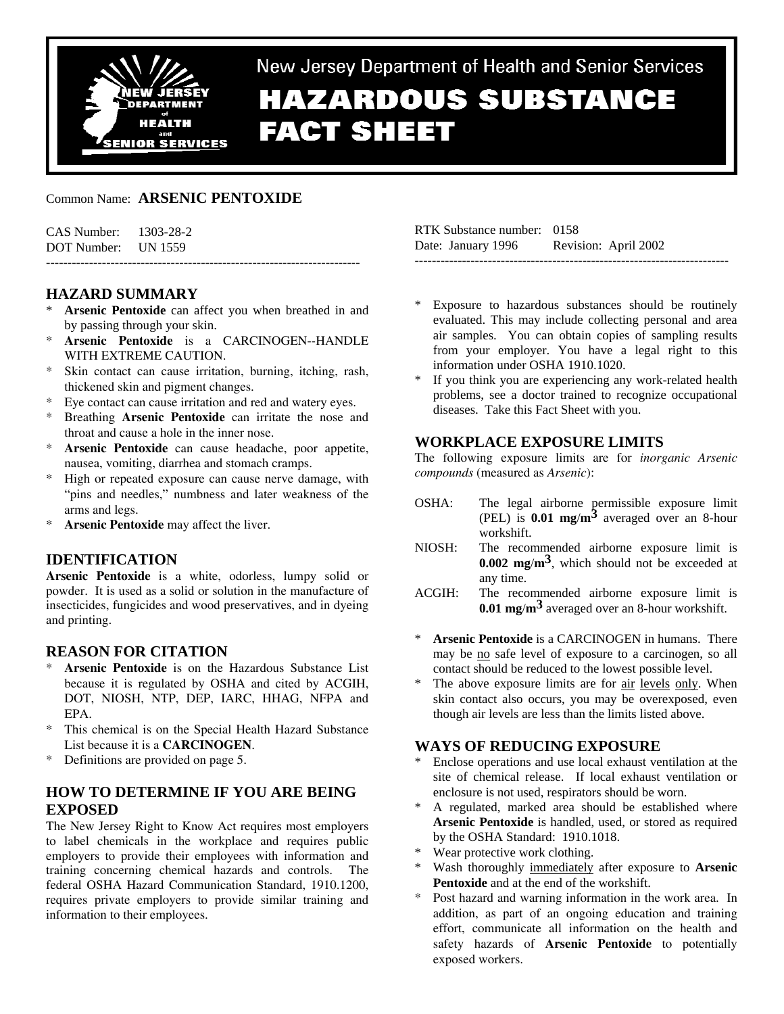

# New Jersey Department of Health and Senior Services **HAZARDOUS SUBSTANCE FACT SHEET**

## Common Name: **ARSENIC PENTOXIDE**

| CAS Number: 1303-28-2 |  |
|-----------------------|--|
| DOT Number: UN 1559   |  |
|                       |  |

## **HAZARD SUMMARY**

- Arsenic Pentoxide can affect you when breathed in and by passing through your skin.
- Arsenic Pentoxide is a CARCINOGEN--HANDLE WITH EXTREME CAUTION.
- Skin contact can cause irritation, burning, itching, rash, thickened skin and pigment changes.
- \* Eye contact can cause irritation and red and watery eyes.
- Breathing **Arsenic Pentoxide** can irritate the nose and throat and cause a hole in the inner nose.
- Arsenic Pentoxide can cause headache, poor appetite, nausea, vomiting, diarrhea and stomach cramps.
- High or repeated exposure can cause nerve damage, with "pins and needles," numbness and later weakness of the arms and legs.
- Arsenic Pentoxide may affect the liver.

## **IDENTIFICATION**

**Arsenic Pentoxide** is a white, odorless, lumpy solid or powder. It is used as a solid or solution in the manufacture of insecticides, fungicides and wood preservatives, and in dyeing and printing.

## **REASON FOR CITATION**

- Arsenic Pentoxide is on the Hazardous Substance List because it is regulated by OSHA and cited by ACGIH, DOT, NIOSH, NTP, DEP, IARC, HHAG, NFPA and EPA.
- This chemical is on the Special Health Hazard Substance List because it is a **CARCINOGEN**.
- \* Definitions are provided on page 5.

# **HOW TO DETERMINE IF YOU ARE BEING EXPOSED**

The New Jersey Right to Know Act requires most employers to label chemicals in the workplace and requires public employers to provide their employees with information and training concerning chemical hazards and controls. The federal OSHA Hazard Communication Standard, 1910.1200, requires private employers to provide similar training and information to their employees.

| RTK Substance number: 0158 |                      |
|----------------------------|----------------------|
| Date: January 1996         | Revision: April 2002 |
|                            |                      |

- Exposure to hazardous substances should be routinely evaluated. This may include collecting personal and area air samples. You can obtain copies of sampling results from your employer. You have a legal right to this information under OSHA 1910.1020.
- If you think you are experiencing any work-related health problems, see a doctor trained to recognize occupational diseases. Take this Fact Sheet with you.

## **WORKPLACE EXPOSURE LIMITS**

The following exposure limits are for *inorganic Arsenic compounds* (measured as *Arsenic*):

- OSHA: The legal airborne permissible exposure limit (PEL) is **0.01 mg**/**m3** averaged over an 8-hour workshift.
- NIOSH: The recommended airborne exposure limit is **0.002 mg**/**m3**, which should not be exceeded at any time.
- ACGIH: The recommended airborne exposure limit is **0.01 mg**/**m3** averaged over an 8-hour workshift.
- \* **Arsenic Pentoxide** is a CARCINOGEN in humans. There may be no safe level of exposure to a carcinogen, so all contact should be reduced to the lowest possible level.
- \* The above exposure limits are for air levels only. When skin contact also occurs, you may be overexposed, even though air levels are less than the limits listed above.

## **WAYS OF REDUCING EXPOSURE**

- Enclose operations and use local exhaust ventilation at the site of chemical release. If local exhaust ventilation or enclosure is not used, respirators should be worn.
- \* A regulated, marked area should be established where **Arsenic Pentoxide** is handled, used, or stored as required by the OSHA Standard: 1910.1018.
- Wear protective work clothing.
- \* Wash thoroughly immediately after exposure to **Arsenic Pentoxide** and at the end of the workshift.
- Post hazard and warning information in the work area. In addition, as part of an ongoing education and training effort, communicate all information on the health and safety hazards of **Arsenic Pentoxide** to potentially exposed workers.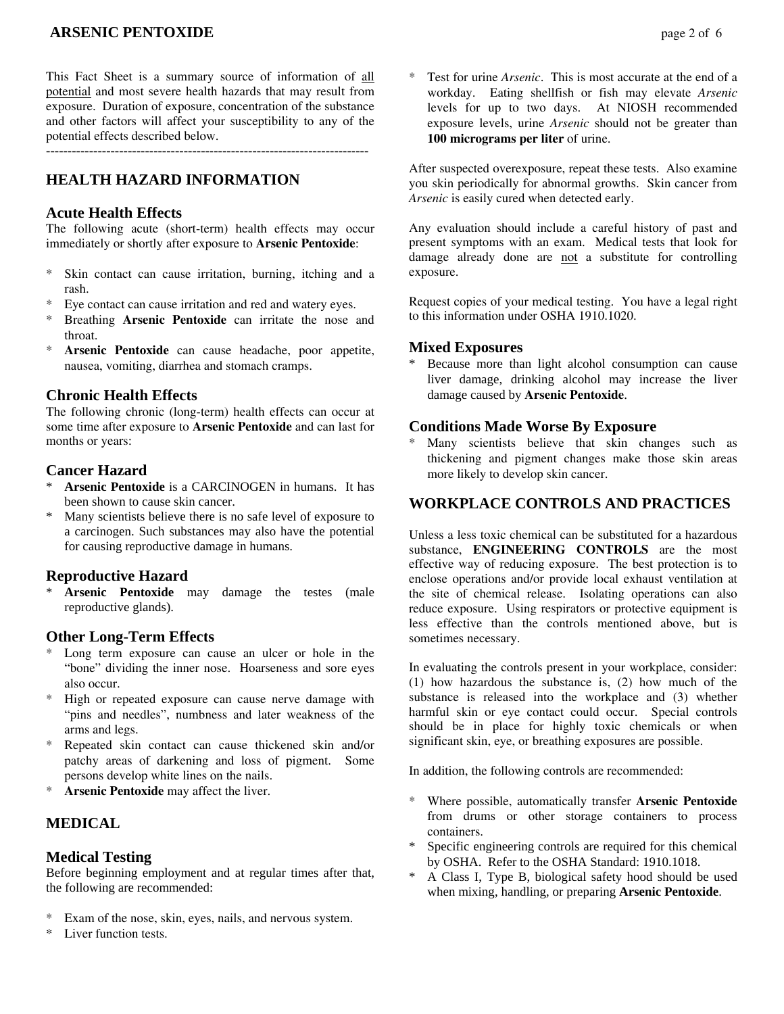# **ARSENIC PENTOXIDE page 2 of 6**

This Fact Sheet is a summary source of information of all potential and most severe health hazards that may result from exposure. Duration of exposure, concentration of the substance and other factors will affect your susceptibility to any of the potential effects described below.

---------------------------------------------------------------------------

# **HEALTH HAZARD INFORMATION**

#### **Acute Health Effects**

The following acute (short-term) health effects may occur immediately or shortly after exposure to **Arsenic Pentoxide**:

- \* Skin contact can cause irritation, burning, itching and a rash.
- Eye contact can cause irritation and red and watery eyes.
- Breathing **Arsenic Pentoxide** can irritate the nose and throat.
- Arsenic Pentoxide can cause headache, poor appetite, nausea, vomiting, diarrhea and stomach cramps.

#### **Chronic Health Effects**

The following chronic (long-term) health effects can occur at some time after exposure to **Arsenic Pentoxide** and can last for months or years:

#### **Cancer Hazard**

- Arsenic Pentoxide is a CARCINOGEN in humans. It has been shown to cause skin cancer.
- \* Many scientists believe there is no safe level of exposure to a carcinogen. Such substances may also have the potential for causing reproductive damage in humans.

## **Reproductive Hazard**

Arsenic Pentoxide may damage the testes (male reproductive glands).

## **Other Long-Term Effects**

- Long term exposure can cause an ulcer or hole in the "bone" dividing the inner nose. Hoarseness and sore eyes also occur.
- High or repeated exposure can cause nerve damage with "pins and needles", numbness and later weakness of the arms and legs.
- \* Repeated skin contact can cause thickened skin and/or patchy areas of darkening and loss of pigment. Some persons develop white lines on the nails.
- \* **Arsenic Pentoxide** may affect the liver.

# **MEDICAL**

#### **Medical Testing**

Before beginning employment and at regular times after that, the following are recommended:

- Exam of the nose, skin, eyes, nails, and nervous system.
- \* Liver function tests.

Test for urine *Arsenic*. This is most accurate at the end of a workday. Eating shellfish or fish may elevate *Arsenic* levels for up to two days. At NIOSH recommended exposure levels, urine *Arsenic* should not be greater than **100 micrograms per liter** of urine.

After suspected overexposure, repeat these tests. Also examine you skin periodically for abnormal growths. Skin cancer from *Arsenic* is easily cured when detected early.

Any evaluation should include a careful history of past and present symptoms with an exam. Medical tests that look for damage already done are not a substitute for controlling exposure.

Request copies of your medical testing. You have a legal right to this information under OSHA 1910.1020.

### **Mixed Exposures**

Because more than light alcohol consumption can cause liver damage, drinking alcohol may increase the liver damage caused by **Arsenic Pentoxide**.

## **Conditions Made Worse By Exposure**

Many scientists believe that skin changes such as thickening and pigment changes make those skin areas more likely to develop skin cancer.

## **WORKPLACE CONTROLS AND PRACTICES**

Unless a less toxic chemical can be substituted for a hazardous substance, **ENGINEERING CONTROLS** are the most effective way of reducing exposure. The best protection is to enclose operations and/or provide local exhaust ventilation at the site of chemical release. Isolating operations can also reduce exposure. Using respirators or protective equipment is less effective than the controls mentioned above, but is sometimes necessary.

In evaluating the controls present in your workplace, consider: (1) how hazardous the substance is, (2) how much of the substance is released into the workplace and (3) whether harmful skin or eye contact could occur. Special controls should be in place for highly toxic chemicals or when significant skin, eye, or breathing exposures are possible.

In addition, the following controls are recommended:

- \* Where possible, automatically transfer **Arsenic Pentoxide** from drums or other storage containers to process containers.
- Specific engineering controls are required for this chemical by OSHA. Refer to the OSHA Standard: 1910.1018.
- A Class I, Type B, biological safety hood should be used when mixing, handling, or preparing **Arsenic Pentoxide**.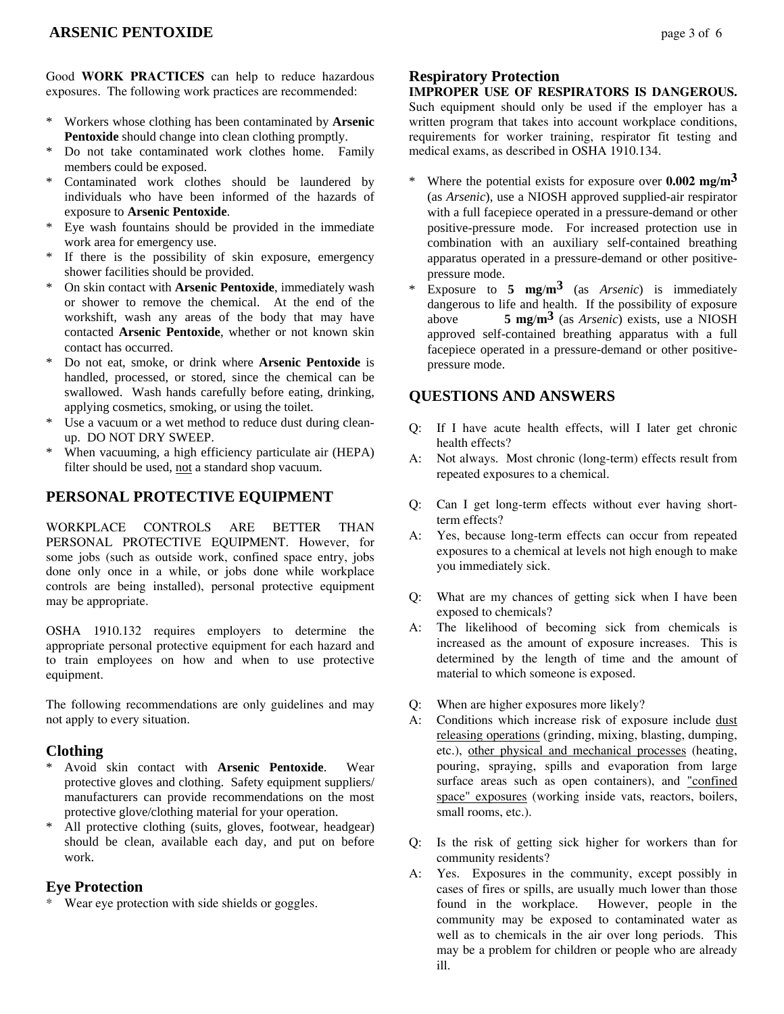## **ARSENIC PENTOXIDE page 3 of 6**

Good **WORK PRACTICES** can help to reduce hazardous exposures. The following work practices are recommended:

- \* Workers whose clothing has been contaminated by **Arsenic Pentoxide** should change into clean clothing promptly.
- Do not take contaminated work clothes home. Family members could be exposed.
- Contaminated work clothes should be laundered by individuals who have been informed of the hazards of exposure to **Arsenic Pentoxide**.
- Eye wash fountains should be provided in the immediate work area for emergency use.
- If there is the possibility of skin exposure, emergency shower facilities should be provided.
- \* On skin contact with **Arsenic Pentoxide**, immediately wash or shower to remove the chemical. At the end of the workshift, wash any areas of the body that may have contacted **Arsenic Pentoxide**, whether or not known skin contact has occurred.
- \* Do not eat, smoke, or drink where **Arsenic Pentoxide** is handled, processed, or stored, since the chemical can be swallowed. Wash hands carefully before eating, drinking, applying cosmetics, smoking, or using the toilet.
- \* Use a vacuum or a wet method to reduce dust during cleanup. DO NOT DRY SWEEP.
- When vacuuming, a high efficiency particulate air (HEPA) filter should be used, not a standard shop vacuum.

#### **PERSONAL PROTECTIVE EQUIPMENT**

WORKPLACE CONTROLS ARE BETTER THAN PERSONAL PROTECTIVE EQUIPMENT. However, for some jobs (such as outside work, confined space entry, jobs done only once in a while, or jobs done while workplace controls are being installed), personal protective equipment may be appropriate.

OSHA 1910.132 requires employers to determine the appropriate personal protective equipment for each hazard and to train employees on how and when to use protective equipment.

The following recommendations are only guidelines and may not apply to every situation.

#### **Clothing**

- \* Avoid skin contact with **Arsenic Pentoxide**. Wear protective gloves and clothing. Safety equipment suppliers/ manufacturers can provide recommendations on the most protective glove/clothing material for your operation.
- \* All protective clothing (suits, gloves, footwear, headgear) should be clean, available each day, and put on before work.

### **Eye Protection**

\* Wear eye protection with side shields or goggles.

#### **Respiratory Protection**

#### **IMPROPER USE OF RESPIRATORS IS DANGEROUS.**

Such equipment should only be used if the employer has a written program that takes into account workplace conditions, requirements for worker training, respirator fit testing and medical exams, as described in OSHA 1910.134.

- Where the potential exists for exposure over  $0.002$  mg/m<sup>3</sup> (as *Arsenic*), use a NIOSH approved supplied-air respirator with a full facepiece operated in a pressure-demand or other positive-pressure mode. For increased protection use in combination with an auxiliary self-contained breathing apparatus operated in a pressure-demand or other positivepressure mode.
- Exposure to  $5 \text{ mg/m}^3$  (as *Arsenic*) is immediately dangerous to life and health. If the possibility of exposure above **5 mg**/**m3** (as *Arsenic*) exists, use a NIOSH approved self-contained breathing apparatus with a full facepiece operated in a pressure-demand or other positivepressure mode.

#### **QUESTIONS AND ANSWERS**

- Q: If I have acute health effects, will I later get chronic health effects?
- A: Not always. Most chronic (long-term) effects result from repeated exposures to a chemical.
- Q: Can I get long-term effects without ever having shortterm effects?
- A: Yes, because long-term effects can occur from repeated exposures to a chemical at levels not high enough to make you immediately sick.
- Q: What are my chances of getting sick when I have been exposed to chemicals?
- A: The likelihood of becoming sick from chemicals is increased as the amount of exposure increases. This is determined by the length of time and the amount of material to which someone is exposed.
- Q: When are higher exposures more likely?
- A: Conditions which increase risk of exposure include dust releasing operations (grinding, mixing, blasting, dumping, etc.), other physical and mechanical processes (heating, pouring, spraying, spills and evaporation from large surface areas such as open containers), and "confined space" exposures (working inside vats, reactors, boilers, small rooms, etc.).
- Q: Is the risk of getting sick higher for workers than for community residents?
- A: Yes. Exposures in the community, except possibly in cases of fires or spills, are usually much lower than those found in the workplace. However, people in the community may be exposed to contaminated water as well as to chemicals in the air over long periods. This may be a problem for children or people who are already ill.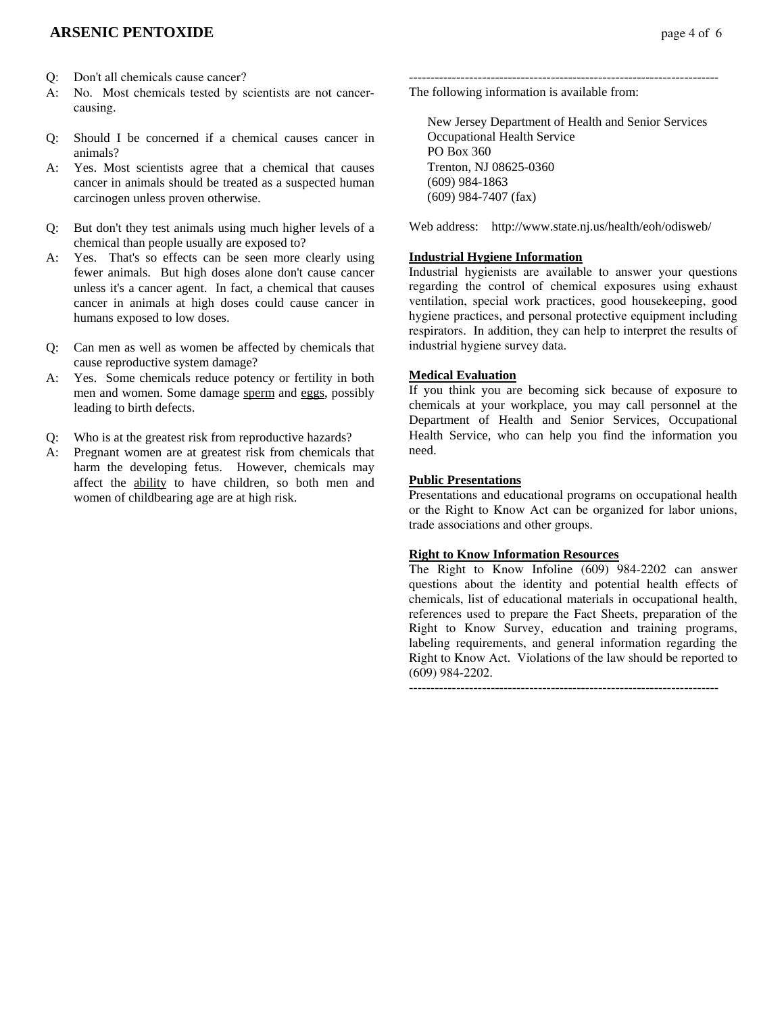## **ARSENIC PENTOXIDE page 4 of 6**

- Q: Don't all chemicals cause cancer?
- A: No. Most chemicals tested by scientists are not cancercausing.
- Q: Should I be concerned if a chemical causes cancer in animals?
- A: Yes. Most scientists agree that a chemical that causes cancer in animals should be treated as a suspected human carcinogen unless proven otherwise.
- Q: But don't they test animals using much higher levels of a chemical than people usually are exposed to?
- A: Yes. That's so effects can be seen more clearly using fewer animals. But high doses alone don't cause cancer unless it's a cancer agent. In fact, a chemical that causes cancer in animals at high doses could cause cancer in humans exposed to low doses.
- Q: Can men as well as women be affected by chemicals that cause reproductive system damage?
- A: Yes. Some chemicals reduce potency or fertility in both men and women. Some damage sperm and eggs, possibly leading to birth defects.
- Q: Who is at the greatest risk from reproductive hazards?
- A: Pregnant women are at greatest risk from chemicals that harm the developing fetus. However, chemicals may affect the ability to have children, so both men and women of childbearing age are at high risk.

------------------------------------------------------------------------ The following information is available from:

 New Jersey Department of Health and Senior Services Occupational Health Service PO Box 360 Trenton, NJ 08625-0360 (609) 984-1863 (609) 984-7407 (fax)

Web address: http://www.state.nj.us/health/eoh/odisweb/

#### **Industrial Hygiene Information**

Industrial hygienists are available to answer your questions regarding the control of chemical exposures using exhaust ventilation, special work practices, good housekeeping, good hygiene practices, and personal protective equipment including respirators. In addition, they can help to interpret the results of industrial hygiene survey data.

#### **Medical Evaluation**

If you think you are becoming sick because of exposure to chemicals at your workplace, you may call personnel at the Department of Health and Senior Services, Occupational Health Service, who can help you find the information you need.

#### **Public Presentations**

Presentations and educational programs on occupational health or the Right to Know Act can be organized for labor unions, trade associations and other groups.

### **Right to Know Information Resources**

The Right to Know Infoline (609) 984-2202 can answer questions about the identity and potential health effects of chemicals, list of educational materials in occupational health, references used to prepare the Fact Sheets, preparation of the Right to Know Survey, education and training programs, labeling requirements, and general information regarding the Right to Know Act. Violations of the law should be reported to (609) 984-2202.

------------------------------------------------------------------------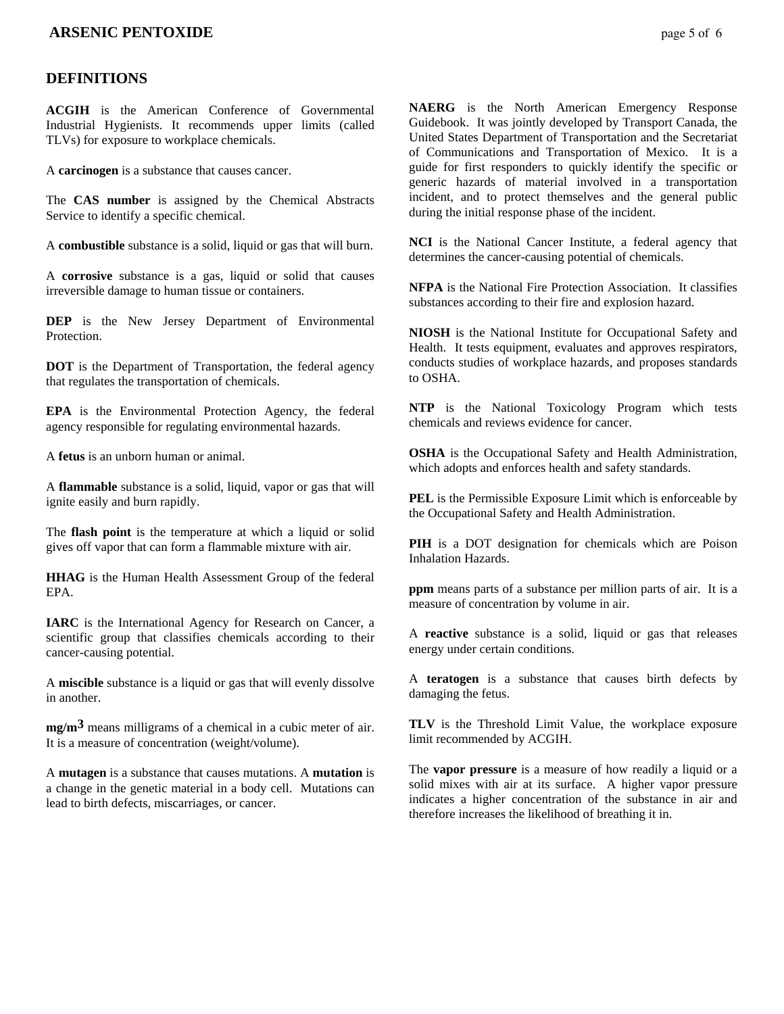### **ARSENIC PENTOXIDE page 5 of 6**

#### **DEFINITIONS**

**ACGIH** is the American Conference of Governmental Industrial Hygienists. It recommends upper limits (called TLVs) for exposure to workplace chemicals.

A **carcinogen** is a substance that causes cancer.

The **CAS number** is assigned by the Chemical Abstracts Service to identify a specific chemical.

A **combustible** substance is a solid, liquid or gas that will burn.

A **corrosive** substance is a gas, liquid or solid that causes irreversible damage to human tissue or containers.

**DEP** is the New Jersey Department of Environmental **Protection** 

**DOT** is the Department of Transportation, the federal agency that regulates the transportation of chemicals.

**EPA** is the Environmental Protection Agency, the federal agency responsible for regulating environmental hazards.

A **fetus** is an unborn human or animal.

A **flammable** substance is a solid, liquid, vapor or gas that will ignite easily and burn rapidly.

The **flash point** is the temperature at which a liquid or solid gives off vapor that can form a flammable mixture with air.

**HHAG** is the Human Health Assessment Group of the federal EPA.

**IARC** is the International Agency for Research on Cancer, a scientific group that classifies chemicals according to their cancer-causing potential.

A **miscible** substance is a liquid or gas that will evenly dissolve in another.

**mg/m3** means milligrams of a chemical in a cubic meter of air. It is a measure of concentration (weight/volume).

A **mutagen** is a substance that causes mutations. A **mutation** is a change in the genetic material in a body cell. Mutations can lead to birth defects, miscarriages, or cancer.

**NAERG** is the North American Emergency Response Guidebook. It was jointly developed by Transport Canada, the United States Department of Transportation and the Secretariat of Communications and Transportation of Mexico. It is a guide for first responders to quickly identify the specific or generic hazards of material involved in a transportation incident, and to protect themselves and the general public during the initial response phase of the incident.

**NCI** is the National Cancer Institute, a federal agency that determines the cancer-causing potential of chemicals.

**NFPA** is the National Fire Protection Association. It classifies substances according to their fire and explosion hazard.

**NIOSH** is the National Institute for Occupational Safety and Health. It tests equipment, evaluates and approves respirators, conducts studies of workplace hazards, and proposes standards to OSHA.

**NTP** is the National Toxicology Program which tests chemicals and reviews evidence for cancer.

**OSHA** is the Occupational Safety and Health Administration, which adopts and enforces health and safety standards.

**PEL** is the Permissible Exposure Limit which is enforceable by the Occupational Safety and Health Administration.

**PIH** is a DOT designation for chemicals which are Poison Inhalation Hazards.

**ppm** means parts of a substance per million parts of air. It is a measure of concentration by volume in air.

A **reactive** substance is a solid, liquid or gas that releases energy under certain conditions.

A **teratogen** is a substance that causes birth defects by damaging the fetus.

**TLV** is the Threshold Limit Value, the workplace exposure limit recommended by ACGIH.

The **vapor pressure** is a measure of how readily a liquid or a solid mixes with air at its surface. A higher vapor pressure indicates a higher concentration of the substance in air and therefore increases the likelihood of breathing it in.